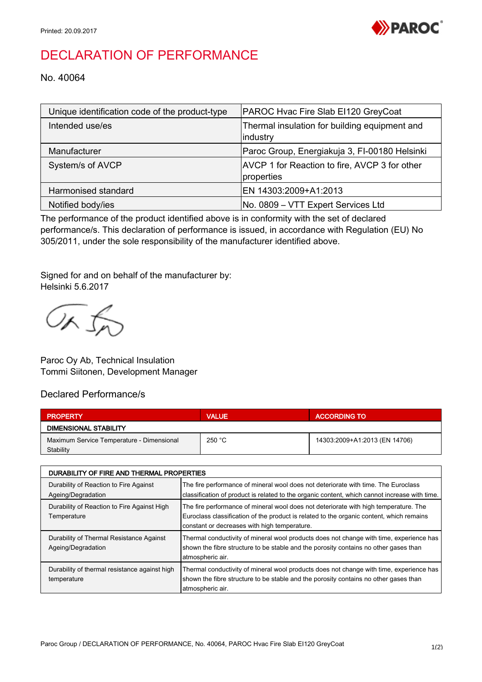

## DECLARATION OF PERFORMANCE

No. 40064

| Unique identification code of the product-type | PAROC Hvac Fire Slab EI120 GreyCoat                         |
|------------------------------------------------|-------------------------------------------------------------|
| Intended use/es                                | Thermal insulation for building equipment and<br>industry   |
| Manufacturer                                   | Paroc Group, Energiakuja 3, FI-00180 Helsinki               |
| System/s of AVCP                               | AVCP 1 for Reaction to fire, AVCP 3 for other<br>properties |
| Harmonised standard                            | EN 14303:2009+A1:2013                                       |
| Notified body/ies                              | No. 0809 - VTT Expert Services Ltd                          |

The performance of the product identified above is in conformity with the set of declared performance/s. This declaration of performance is issued, in accordance with Regulation (EU) No 305/2011, under the sole responsibility of the manufacturer identified above.

Signed for and on behalf of the manufacturer by: Helsinki 5.6.2017

OR fr

Paroc Oy Ab, Technical Insulation Tommi Siitonen, Development Manager

## Declared Performance/s

| <b>PROPERTY</b>                           | <b>VALUE</b> | <b>ACCORDING TO</b>           |  |  |
|-------------------------------------------|--------------|-------------------------------|--|--|
| <b>DIMENSIONAL STABILITY</b>              |              |                               |  |  |
| Maximum Service Temperature - Dimensional | 250 °C       | 14303:2009+A1:2013 (EN 14706) |  |  |
| Stability                                 |              |                               |  |  |

| DURABILITY OF FIRE AND THERMAL PROPERTIES                      |                                                                                                                                                                                                                                  |  |
|----------------------------------------------------------------|----------------------------------------------------------------------------------------------------------------------------------------------------------------------------------------------------------------------------------|--|
| Durability of Reaction to Fire Against<br>Ageing/Degradation   | The fire performance of mineral wool does not deteriorate with time. The Euroclass<br>classification of product is related to the organic content, which cannot increase with time.                                              |  |
| Durability of Reaction to Fire Against High<br>Temperature     | The fire performance of mineral wool does not deteriorate with high temperature. The<br>Euroclass classification of the product is related to the organic content, which remains<br>constant or decreases with high temperature. |  |
| Durability of Thermal Resistance Against<br>Ageing/Degradation | Thermal conductivity of mineral wool products does not change with time, experience has<br>shown the fibre structure to be stable and the porosity contains no other gases than<br>atmospheric air.                              |  |
| Durability of thermal resistance against high<br>temperature   | Thermal conductivity of mineral wool products does not change with time, experience has<br>shown the fibre structure to be stable and the porosity contains no other gases than<br>atmospheric air.                              |  |